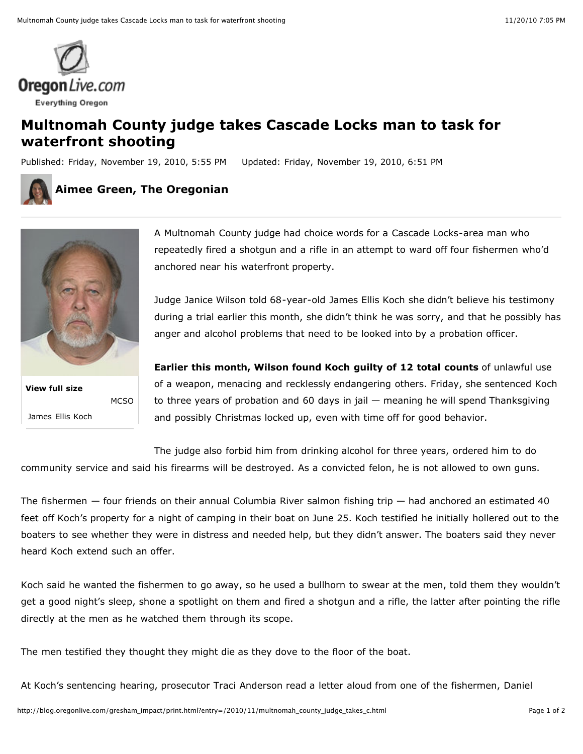

## **Multnomah County judge takes Cascade Locks man to task for waterfront shooting**

Published: Friday, November 19, 2010, 5:55 PM Updated: Friday, November 19, 2010, 6:51 PM



## **Aimee Green, The Oregonian**



**MCSO View full size** James Ellis Koch

A Multnomah County judge had choice words for a Cascade Locks-area man who repeatedly fired a shotgun and a rifle in an attempt to ward off four fishermen who'd anchored near his waterfront property.

Judge Janice Wilson told 68-year-old James Ellis Koch she didn't believe his testimony during a trial earlier this month, she didn't think he was sorry, and that he possibly has anger and alcohol problems that need to be looked into by a probation officer.

**Earlier this month, Wilson found Koch guilty of 12 total counts** of unlawful use of a weapon, menacing and recklessly endangering others. Friday, she sentenced Koch to three years of probation and 60 days in jail — meaning he will spend Thanksgiving and possibly Christmas locked up, even with time off for good behavior.

The judge also forbid him from drinking alcohol for three years, ordered him to do community service and said his firearms will be destroyed. As a convicted felon, he is not allowed to own guns.

The fishermen — four friends on their annual Columbia River salmon fishing trip — had anchored an estimated 40 feet off Koch's property for a night of camping in their boat on June 25. Koch testified he initially hollered out to the boaters to see whether they were in distress and needed help, but they didn't answer. The boaters said they never heard Koch extend such an offer.

Koch said he wanted the fishermen to go away, so he used a bullhorn to swear at the men, told them they wouldn't get a good night's sleep, shone a spotlight on them and fired a shotgun and a rifle, the latter after pointing the rifle directly at the men as he watched them through its scope.

The men testified they thought they might die as they dove to the floor of the boat.

At Koch's sentencing hearing, prosecutor Traci Anderson read a letter aloud from one of the fishermen, Daniel